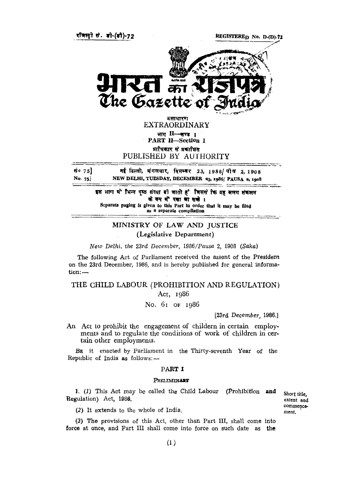

REGISTERED No. D-(D)-72



असाधारण EXTRAORDINARY भाग II - खण्ड 1 PART II—Section 1 प्राधिकार से प्रकाशित PUBLISHED BY AUTHORITY

**सं० ७** इ] नई दिल्ली, मंगलवार, विसम्बर 23, 1986/पौष 2, 1908 No. 75] NEW DELHI, TUESDAY, DECEMBER 23, 1986/PAUSA 2, 1908

> इस भाग में भिन्न पृष्ठ संख्या दो जाती है जिससे कि यह अलग संकलन को रूप में रखा जा सको । Separate paging is given to this Part in order **that it** may be filed *as* a separate compilation

# MINISTRY OF LAW AND JUSTICE (Legislative Department)

*New Delhi, the* 23rd *December,* 1986/Pausa 2, 1908 (Saka)

The following Act of Parliament received the assent of the President on the 23rd December, 1986, and is hereby published for general information:—

## THE CHILD LABOUR (PROHIBITION AND REGULATION) Act, 1986

No. 61 OF 1986

[23rd *December,* 1986.]

An Act to prohibit the engagement of childern in certain employments and to regulate the conditions of work of children in certain other employments.

BE it enacted by Parliament in the Thirty-seventh Year of the Republic of India as follows: —

#### **PART** I

#### **PRELIMINARY**

1. (1) This Act may be called the Child Labour (Prohibition **and** Regulation) Act, 1986.

Short title, extent and commencement.

(2) It extends to the whole of India.

(3) The provisions of this Act, other than Part III, shall come into force at once, and Part III shall come into force on such date as **the**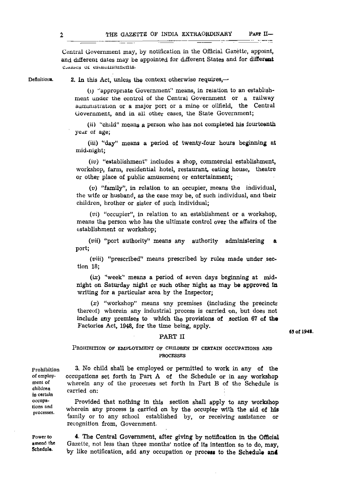$\mathbb{R}$  -  $\mathbb{R}$ 

Central Government may, by notification in the Official Gazette, appoint, and different dates may be appointed for different States and for different Classes of establismnents.

Definitions.

2. In this Act, unless the context otherwise requires,—

*(i)* "'appropriate Government" means, in relation to an establishment under the control of the Central Government or a railway auministration or a major port or a mine or oilfield, the Central Government, and in all other cases, the State Government;

*(ii)* "child" means a person who has not completed his fourteenth year of age;

(iii) "day" means a period of twenty-four hours beginning at mid-night;

*(iv)* "establishment" includes a shop, commercial establishment, workshop, farm, residential hotel, restaurant, eating house, theatre or other place of public amusement or entertainment;

(v) "family", in relation to an occupier, means the individual, the wife or husband, as the case may be, of such individual, and their children, brother or sister of such individual;

*(vi)* "occupier", in relation to an establishment or a workshop, means the person who has the ultimate control over the affairs of the establishment or workshop;

*(vii)* "port authority" means any authority administering a port;

 $(viii)$  "prescribed" means prescribed by rules made under section 18;

*(ix)* "week" means a period of seven days beginning at midnight on Saturday night or such other night as may be approved In writing for a particular area by the Inspector;

*(x)* "workshop" means any premises (including the precincts thereof) wherein any industrial process is carried on, but does not include any premises to which the provisions of section 67 of the Factories Act, 1948, for the time being, apply.

### PART II

PROHIBITION OF EMPLOYMENT OF CHILDREN IN CERTAIN OCCUPATIONS AND PROCESSES

Prohibition of employment of children in certain occupations and processes.

wherein any process is carried on by the occupier with the aid of his family or to any school established by, or receiving assistance or recognition from, Government.

4. The Central Government, after giving by notification in the Official Gazette, not less than three months' notice of its intention so to do, may, by like notification, add any occupation or process to the Schedule and Power to amend the Schedule.

occupations set forth in Part  $A$  of the Schedule or in any workshop wherein any of the procesaes set forth in Part B of the Schedule is carried on: Provided that nothing in this section shall apply to any workshop

3. No child shall be employed or permitted to work in any of the

63 of 1948.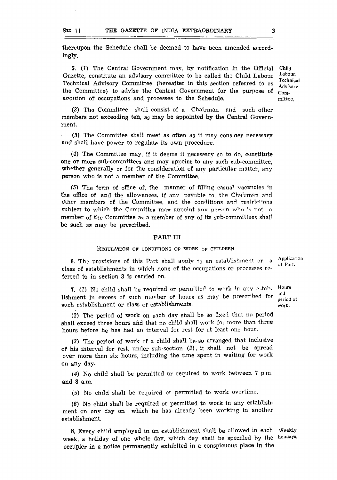thereupon the Schedule shall be deemed to have been amended accordingly.

5. (1) The Central Government may, by notification in the Official Gazette, constitute an advisory committee to be called the Child Labour Technical Advisory Committee (hereafter in this section referred to as the Committee) to advise the Central Government for the purpose of acdition of occupations and processes to the Schedule. Child Labour, Technical Advlsorv Committee.

(2) The Committee shall consist of a Chairman and such other members not exceeding ten, as may be appointed by the Central Government.

(3) The Committee shall meet as often as it may consider necessary and shall have power to regulate its own procedure.

(4) The Committee may, if it deems it necessary so to do, constitute one or more sub-committees and may appoint to any such sub-committee, whether generally or for the consideration of any particular matter, any person who is not a member of the Committee.

(5) The term of office of, the manner of filling casua<sup>l</sup> vacancies in the office of, and the allowances, if any payable to, the Chairman and other members of the Committee, and the conditions and restrictions subject to which the Committee may appoint any person who is not a member of the Committee as a member of any of its sub-committees shall be such as may be prescribed.

### PART III

#### REGULATION OF CONDITIONS OF WORK OF CHILDREN

6. The provisions of this Part shall apply to an establishment or a class of establishments in which none of the occupations or processes *rc***ferred** to in section 3 is carried on.

7. (1) No child shall be required or permitted to work in any establishment in excess of such number of hours as may be prescribed for such establishment or class of establishments.

(2) The period of work on each day shall be so fixed that no period shall exceed three hours and that no child shall work for more than three hours before he has had an interval for rest for at least one hour.

(3) The period of work of a child shall be- so arranged that inclusive of his interval for rest, under sub-section (2), it shall not be spread over more than six hours, including the time spent in waiting for work on any day.

*(4)* No child shall be permitted or required to work between 7 p.m. and 8 a.m.

(5) No child shall be required or permitted to work overtime.

(6) No child shall be required or permitted to work in any establishment on any day on which he has already been working in another establishment.

8. Every child employed in an establishment shall be allowed in each Weekly week, a holiday of one whole day, which day shall be specified by the holidays. occupier in a notice permanently exhibited in a conspicuous place in the

Applica ion of Part,

Hours and period of work.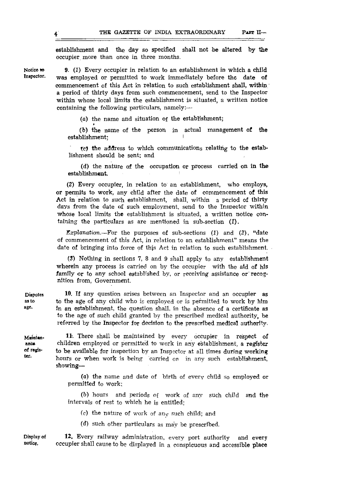establishment and the day so specified shall not be altered by the occupier more than once in three months.

9. (1) Every occupier in relation to an establishment in which a child was employed or permitted to work immediately before the date of commencement of this Act in relation to such establishment shall, within a period of thirty days from such commencement, send to the Inspector within whose local limits the establishment is situated, a written notice containing the following particulars, namely: $\rightarrow$ 

(a) the name and situation of the establishment;

(b) the name of the person in actual management of the establishment:

*Xc)* the address to which communications relating to the establishment should be sent; and

(d) the nature of the occupation or process carried on in the establishment.

(2) Every occupier, in relation to an establishment, who employs, or permits to work, any child after the date of commencement of this Act in relation to such establishment, shall within a period of thirty days from the date of such employment, send to the Inspector within whose local limits the establishment is situated, a written notice containing the particulars as are mentioned in sub-section *(1).*

*Explanation.*—For the purposes of sub-sections *(1)* and (2), "date of commencement of this Act, in relation to an establishment" means the date of bringing into force of thja Act in relation to such establishment.

(3) Nothing in sections 7, 8 and 9 shall apply to any establishment wherein any process is carried on by the occupier with the aid of his family or to any school established by, or receiving assistance or' recognition from, Government.

10. If any question arises between an Inspector and an occupier as to the age of any child who is employed or is permitted to work by him In an establishment, the question shall, in the absence of a certificate as to the age of such child granted by the prescribed medical authority, be referred by the Inspector for decision to the prescribed medical authority.

11. There shall be maintained by every occupier in respect of children employed or permitted to work in any establishment, a register to be available for inspection by an Inspector at all times during working hours or when work is being carried on in any such establishment, showing—

(a) the name and date of birth of every child so employed or permitted to work;

(b) hours and periods of work of any such child and the intervals of rest to which he i<sup>s</sup> entitled;

(c) the nature of work of any such child; and

*(d)* such other particulars as may be prescribed.

**Display of notice.** 12. Every railway administration, every port authority and every occupier shall cause to be displayed in a conspicuous and accessible place

**Disputes as to age.**

**Maintenance of register.**

**Notice** to **Inspector.**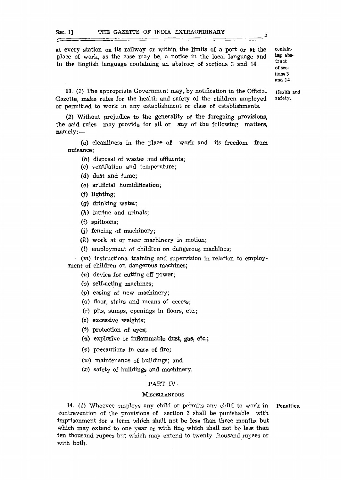at every station on its railway or within the limits of a port or at the place of work, as the case may be, a notice in the local language and in the English language containing an abstract of sections 3 and 14.

ing abstract of sections 3 and 14

Health and safety.

contain-

13. (1) The appropriate Government may,, by notification in the Official Gazette, make rules for the health and safety of the children employed or permitted to work in any establishment or class of establishments.

(2) Without prejudice to the generality of the foregoing provisions, the said rules may provide for all or any of the following matters, namely:-—

(0) cleanliness in the place of work and its freedom from nuisance;

- (b) disposal of wastes and effluents;
- (c) ventilation and temperature;
- (d) dust and fume;
- (e) artificial humldification;
- (f) lighting;
- *(g)* drinking water;
- (h) latrine and urinals;
- (i) spittoons;
- (j) fencing of machinery;
- $(k)$  work at or near machinery in motion;
- (I) employment of children on dangerous machines;

 $(m)$  instructions, training and supervision in relation to employment of children on dangerous machines;

- (n) device for cutting off power;
- (o) self-acting machines;
- (p) easing of new machinery;
- *(q)* floor, stairs and means of access;
- (r) pits, sumps, openings in floors, etc.;
- (s) excessive weights;
- *(t)* protection of eyes;
- (*u*) explosive or inflammable dust, gas, etc.;
- *(v)* precautions in case of fire;
- *(w)* maintenance of buildings; and
- *(x)* safety of buildings and machinery.

#### PART IV

## **MISCELLANEOUS**

14. (1) Whoever employs any child or permits any child to work in contravention of the provisions of section 3 shall be punishable with imprisonment for a term which shall not be less than three months but which may extend to one year or with fine which shall not be less than ten thousand rupees but which may extend to twenty thousand rupees or with both. Penalties.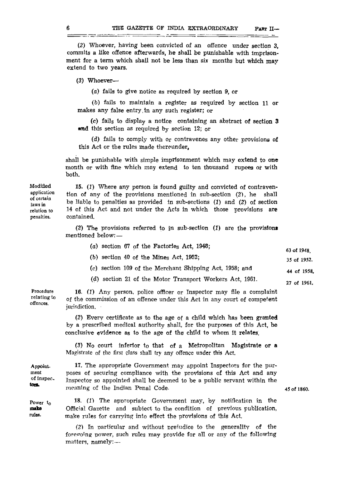\_<del>\_\_\_\_\_\_\_</del>\_

*(2)* Whoever, having been convicted of an offence under section 3, commits a like offence afterwards, he shall be punishable with Imprisonment for a term which shall not be less than *six* months but which may extend to two years.

(3) Whoever-

(a) fails to give notice as required by section 9, or

(b) fails to maintain a register as required by section 11 or makes any false entry,in any such register; or

(c) fails to display a notice containing an abstract of section 3 and this section as required by section 12; or

(d) fails to comply with or contravenes any other provisions of this Act or the rules made thereunder,

shall be punishable with simple imprisonment which may extend to one month or with fine which may extend to ten thousand rupees or with both.

15. *(1)* Where any person is found guilty and convicted of contravention of any of the provisions mentioned in sub-section (2), he shall be liable to penalties as provided in sub-sections *(1)* and (2) of section 14 of this Act and not under the Acts in which those provisions are contained.

(2) The provisions referred to in sub-section  $(1)$  are the provisions mentioned below: —

| (a) section 67 of the Factories Act, $1948$ ; | 63 of 1948  |
|-----------------------------------------------|-------------|
| $(b)$ section 40 of the Mines Act, 1952;      | 35 of 1952. |

- (c) section 109 of the Merchant Shipping Act, 1958; and 44 of 1958.
- (d) section 21 of the Motor Transport Workers Act, 1961. 27 of 1961.

Procedure relating to offences.

Appoint. ment of inspecton.

Power t<sub>o</sub>

rules.

make

16. *(1)* Any person, police officer or Inspector may file a complaint of the commission of an offence under this Act in any court of competent jurisdiction.

(2) Every certificate as to the age of a child which has been granted by a prescribed medical authority shall, for the purposes of this Act, be conclusive evidence as to the age of the child to whom it relates.

*(3)* No court inferior to that of a Metropolitan Magistrate or a Magistrate of the first class shall try any offence under this Act.

17. The appropriate Government may appoint Inspectors for the purposes of securing compliance with the provisions of this Act and any Inspector so appointed shall be deemed to be a public servant within the meaning of the Indian Penal Code-

45 of 1860.

18. *(1)* The appropriate Government may, by notification in the Official Gazette and subiect to the condition of previous publication, make rules for carrying into effect the provisions of this Act.

*(2)* In particular and without preiudice to the generality of the fore going power, such rules may provide for all or any of the following matters, namely: —

## Modified application of certain laws in relation to penalties.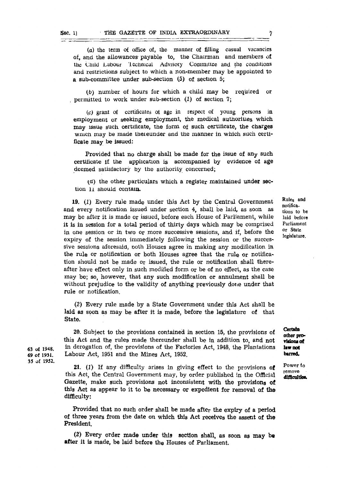63 of 1948. 69 Of 1931. 35 of 1952.

(a) the term of office of, the manner of filling casual vacancies of, and the allowances payable to, the Chairman and members of the Child Labour lechnical Advisory Committee and the conditions and restrictions subject to which a non-member may be appointed to a sub-committee under sub-section (5) of section 5;

(b) number of hours for which a child may be required or , permitted to work under sub-section  $(1)$  of section 7;

*{c)* grant of certificates ol age in respect of young persons in employment or seeking employment, the medical authorities which may issue such, certificate, the form of such certificate, the charges wnich may be made thereunder and the manner in which such certificate may be issued:

Provided that no charge shall be made for the issue of any such certificate if the application is accompanied by evidence of age deemed satisfactory by the authority concerned;

*{a)* the other particulars which a register maintained under section li should contain.

19. (1) Every rule made under this Act by the Central Government and every notification issued under section 4, shall be laid, as soon as may be after it is made or issued, before each House of Parliament, while it is in session for a total period of thirty days which may be comprised in one session or in two or more successive sessions, and if, before the expiry of the session immediately following the session or the successive sessions aforesaid, ooth Houses agree in making any modification in the rule or notification or both Houses agree that the rule or notification should not be made or issued, the rule or notification shall thereafter have effect only in such modified form or be of no effect, as the case may be; so, however, that any such modification or annulment shall be without prejudice to the validity of anything previously done under that rule or notification.

(2) Every rule made by a State Government under this Act shall be laid as soon as may be after it is made, before the legislature of that State.

20. Subject to the provisions contained in section 15, the provisions of this Act and the rules made thereunder shall be in addition to, and not in derogation of, the provisions of the Factories Act, 1948, the Plantations Labour Act, 1951 and the Mines Act, 1952.

21. *(1)* If any difficulty arises In giving effect to the provisions of this Act, the Central Government may, by order published in the Official Gazette, make such provisions not inconsistent with the provisions of this Act as appear to it to be necessary or expedient for removal of the difficulty:

Provided that no such order shall be made after the expiry of a period of three years from the date on which this Act receives the assent of the President.

(2) Every order made under this section shall, as soon as may be after it is made, be laid before the Houses of Parliament.

Rule<sup>s</sup> and notifications to be laid before Parliament or State legislature.

remove **difficult!©\*.**

**Certain**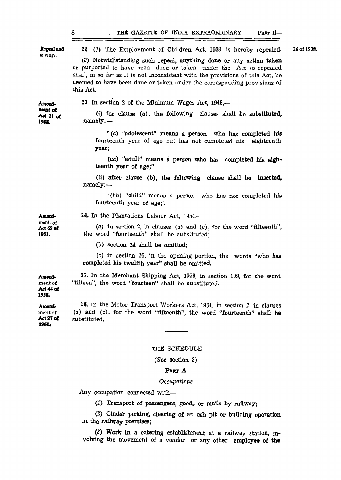| Repeal and<br>savings.                   | 22. (1) The Employment of Children Act, 1938 is hereby repealed.                                                                                                                                                                                                                                                  | 26 of 1938. |
|------------------------------------------|-------------------------------------------------------------------------------------------------------------------------------------------------------------------------------------------------------------------------------------------------------------------------------------------------------------------|-------------|
|                                          | (2) Notwithstanding such repeal, anything done or any action taken<br>or purported to have been done or taken under the Act so repealed<br>shall, in so far as it is not inconsistent with the provisions of this Act, be<br>deemed to have been done or taken under the corresponding provisions of<br>this Act. |             |
| Amend.<br>ment of<br>Act 11 of<br>1948   | 23. In section 2 of the Minimum Wages Act, 1948,—                                                                                                                                                                                                                                                                 |             |
|                                          | (i) for clause $(a)$ , the following clauses shall be substituted,<br>namely:                                                                                                                                                                                                                                     |             |
|                                          | "(a) "adolescent" means a person who has completed his<br>fourteenth year of age but has not completed his eighteenth<br>year;                                                                                                                                                                                    |             |
|                                          | (aa) "adult" means a person who has completed his eigh-<br>teenth year of age;";                                                                                                                                                                                                                                  |             |
|                                          | (ii) after clause (b), the following clause shall be inserted,<br>namely:-                                                                                                                                                                                                                                        |             |
|                                          | '(bb) "child" means a person who has not completed his<br>fourteenth year of age;'.                                                                                                                                                                                                                               |             |
| Amond-<br>ment. of<br>Act 69 of<br>1951. | <b>24.</b> In the Plantations Labour Act, $1951$ ,—                                                                                                                                                                                                                                                               |             |
|                                          | (a) in section 2, in clauses (a) and (c), for the word "fifteenth",<br>the word "fourteenth" shall be substituted;                                                                                                                                                                                                |             |
|                                          | $(b)$ section 24 shall be omitted;                                                                                                                                                                                                                                                                                |             |
|                                          | (c) in section 26, in the opening portion, the words "who has<br>completed his twelfth year" shall be omitted.                                                                                                                                                                                                    |             |
| Amend-<br>ment of<br>Act 44 of<br>1958.  | 25. In the Merchant Shipping Act, 1958, in section 109, for the word<br>"fifteen", the word "fourteen" shall be substituted.                                                                                                                                                                                      |             |
| Amend-<br>ment of<br>Act 27 of<br>1961.  | 26. In the Motor Transport Workers Act, 1961, in section 2, in clauses<br>(a) and (c), for the word "fifteenth", the word "fourteenth" shall be<br>substituted.                                                                                                                                                   |             |
|                                          |                                                                                                                                                                                                                                                                                                                   |             |
|                                          | THE SCHEDULE                                                                                                                                                                                                                                                                                                      |             |
|                                          |                                                                                                                                                                                                                                                                                                                   |             |

## (See section 3)

## PART A

## *Occupations*

Any occupation connected with—

*(1)* Transport of passengers, goods or malls by railway;

(2) Cinder picking, clearing of an ash pit or building operation in the railway premises;

(3) Work In a catering establishment at a railway station, involving the movement of a vendor or any other employee of the

**8**